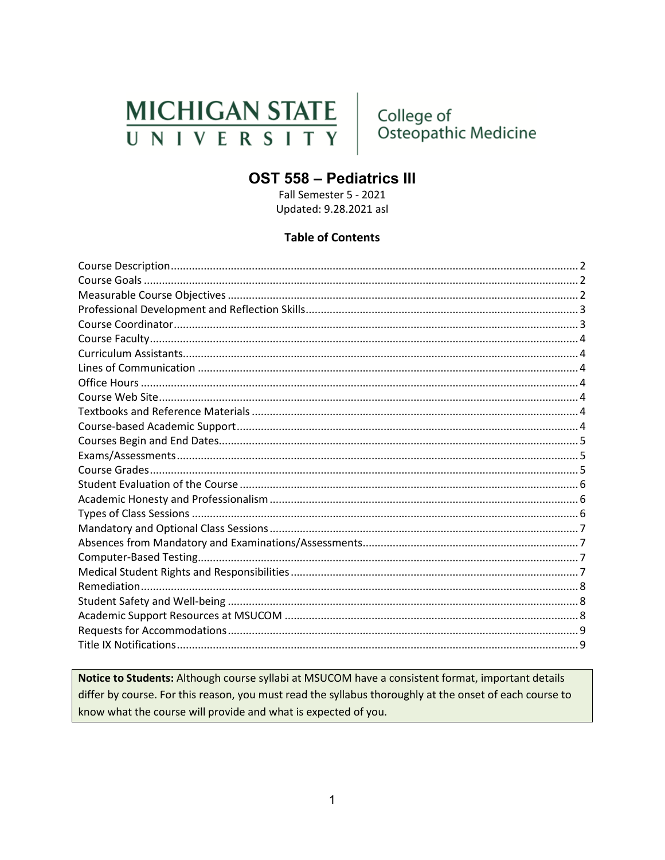# **MICHIGAN STATE** UNIVERSITY

College of Osteopathic Medicine

# **OST 558 - Pediatrics III**

Fall Semester 5 - 2021 Updated: 9.28.2021 asl

#### **Table of Contents**

Notice to Students: Although course syllabi at MSUCOM have a consistent format, important details differ by course. For this reason, you must read the syllabus thoroughly at the onset of each course to know what the course will provide and what is expected of you.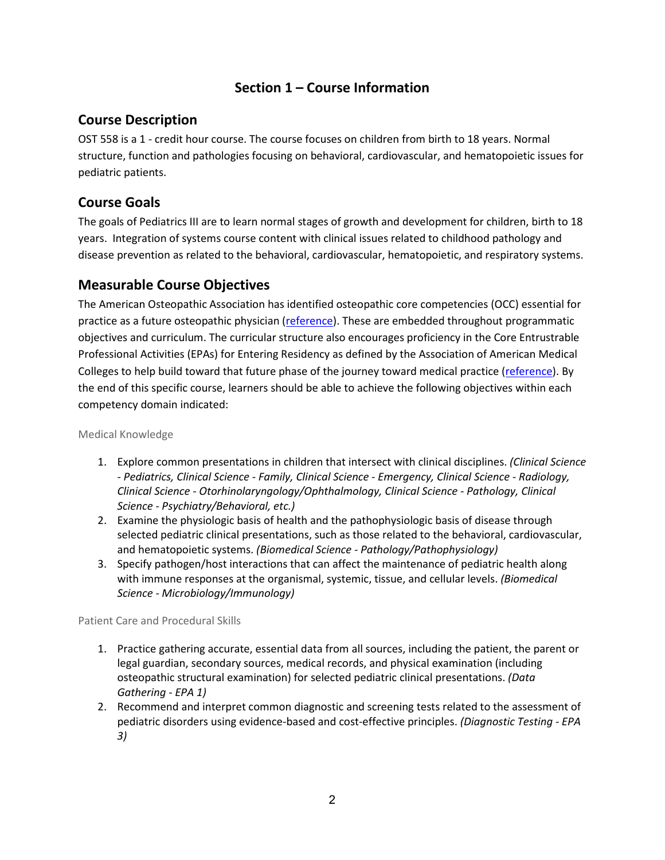### **Section 1 – Course Information**

#### <span id="page-1-0"></span>**Course Description**

OST 558 is a 1 - credit hour course. The course focuses on children from birth to 18 years. Normal structure, function and pathologies focusing on behavioral, cardiovascular, and hematopoietic issues for pediatric patients.

#### <span id="page-1-1"></span>**Course Goals**

The goals of Pediatrics III are to learn normal stages of growth and development for children, birth to 18 years. Integration of systems course content with clinical issues related to childhood pathology and disease prevention as related to the behavioral, cardiovascular, hematopoietic, and respiratory systems.

#### <span id="page-1-2"></span>**Measurable Course Objectives**

The American Osteopathic Association has identified osteopathic core competencies (OCC) essential for practice as a future osteopathic physician [\(reference\)](https://www.aacom.org/docs/default-source/core-competencies/corecompetencyreport2012.pdf?sfvrsn=4). These are embedded throughout programmatic objectives and curriculum. The curricular structure also encourages proficiency in the Core Entrustrable Professional Activities (EPAs) for Entering Residency as defined by the Association of American Medical Colleges to help build toward that future phase of the journey toward medical practice [\(reference\)](https://store.aamc.org/downloadable/download/sample/sample_id/66/). By the end of this specific course, learners should be able to achieve the following objectives within each competency domain indicated:

Medical Knowledge

- 1. Explore common presentations in children that intersect with clinical disciplines. *(Clinical Science - Pediatrics, Clinical Science - Family, Clinical Science - Emergency, Clinical Science - Radiology, Clinical Science - Otorhinolaryngology/Ophthalmology, Clinical Science - Pathology, Clinical Science - Psychiatry/Behavioral, etc.)*
- 2. Examine the physiologic basis of health and the pathophysiologic basis of disease through selected pediatric clinical presentations, such as those related to the behavioral, cardiovascular, and hematopoietic systems. *(Biomedical Science - Pathology/Pathophysiology)*
- 3. Specify pathogen/host interactions that can affect the maintenance of pediatric health along with immune responses at the organismal, systemic, tissue, and cellular levels. *(Biomedical Science - Microbiology/Immunology)*

Patient Care and Procedural Skills

- 1. Practice gathering accurate, essential data from all sources, including the patient, the parent or legal guardian, secondary sources, medical records, and physical examination (including osteopathic structural examination) for selected pediatric clinical presentations. *(Data Gathering - EPA 1)*
- 2. Recommend and interpret common diagnostic and screening tests related to the assessment of pediatric disorders using evidence-based and cost-effective principles. *(Diagnostic Testing - EPA 3)*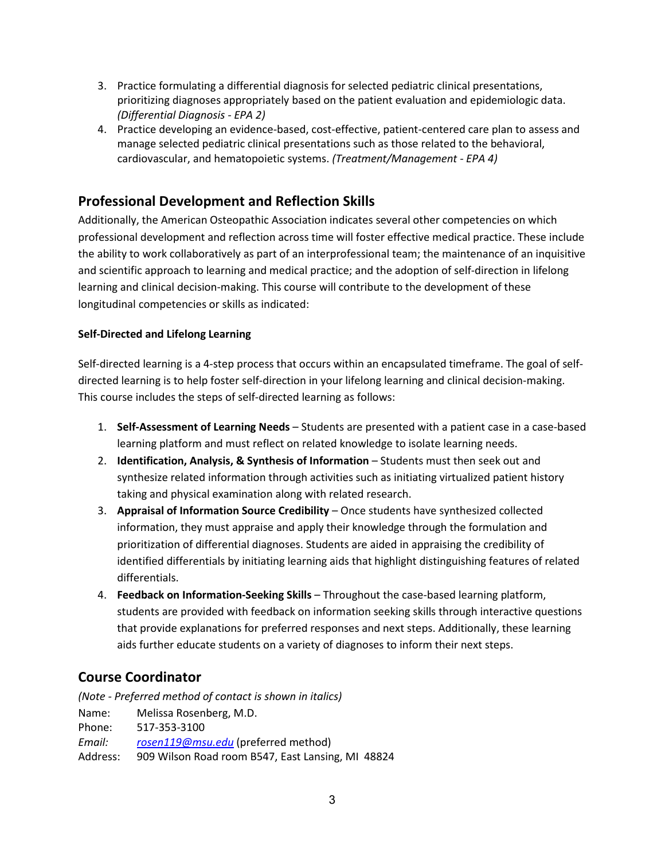- 3. Practice formulating a differential diagnosis for selected pediatric clinical presentations, prioritizing diagnoses appropriately based on the patient evaluation and epidemiologic data. *(Differential Diagnosis - EPA 2)*
- 4. Practice developing an evidence-based, cost-effective, patient-centered care plan to assess and manage selected pediatric clinical presentations such as those related to the behavioral, cardiovascular, and hematopoietic systems. *(Treatment/Management - EPA 4)*

## <span id="page-2-0"></span>**Professional Development and Reflection Skills**

Additionally, the American Osteopathic Association indicates several other competencies on which professional development and reflection across time will foster effective medical practice. These include the ability to work collaboratively as part of an interprofessional team; the maintenance of an inquisitive and scientific approach to learning and medical practice; and the adoption of self-direction in lifelong learning and clinical decision-making. This course will contribute to the development of these longitudinal competencies or skills as indicated:

#### **Self-Directed and Lifelong Learning**

Self-directed learning is a 4-step process that occurs within an encapsulated timeframe. The goal of selfdirected learning is to help foster self-direction in your lifelong learning and clinical decision-making. This course includes the steps of self-directed learning as follows:

- 1. **Self-Assessment of Learning Needs** Students are presented with a patient case in a case-based learning platform and must reflect on related knowledge to isolate learning needs.
- 2. **Identification, Analysis, & Synthesis of Information** Students must then seek out and synthesize related information through activities such as initiating virtualized patient history taking and physical examination along with related research.
- 3. **Appraisal of Information Source Credibility** Once students have synthesized collected information, they must appraise and apply their knowledge through the formulation and prioritization of differential diagnoses. Students are aided in appraising the credibility of identified differentials by initiating learning aids that highlight distinguishing features of related differentials.
- 4. **Feedback on Information-Seeking Skills** Throughout the case-based learning platform, students are provided with feedback on information seeking skills through interactive questions that provide explanations for preferred responses and next steps. Additionally, these learning aids further educate students on a variety of diagnoses to inform their next steps.

#### <span id="page-2-1"></span>**Course Coordinator**

*(Note - Preferred method of contact is shown in italics)* Name: Melissa Rosenberg, M.D. Phone: 517-353-3100 *Email: [rosen119@msu.edu](mailto:rosen119@msu.edu)* (preferred method) Address: 909 Wilson Road room B547, East Lansing, MI 48824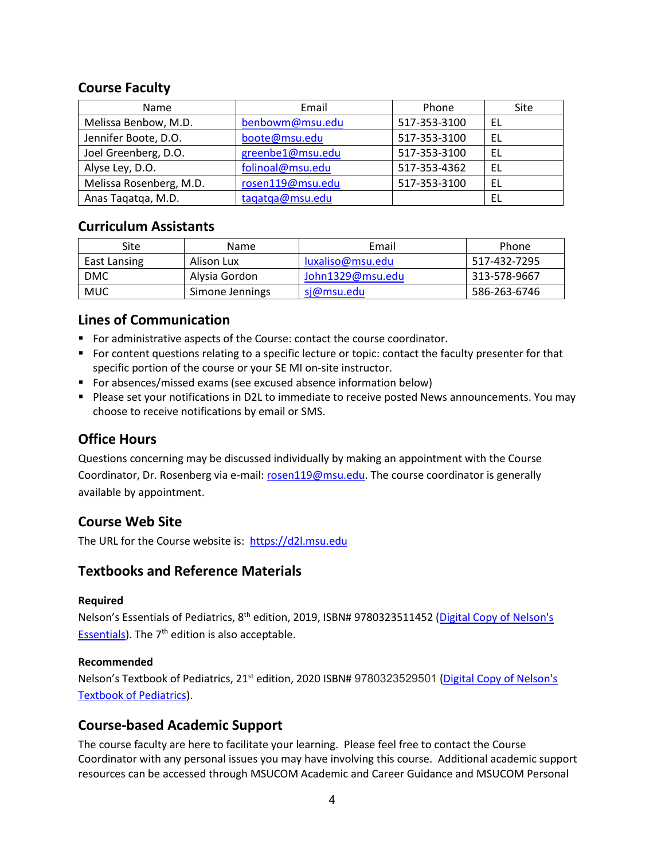#### <span id="page-3-0"></span>**Course Faculty**

| Name                    | Email            | Phone        | Site |
|-------------------------|------------------|--------------|------|
| Melissa Benbow, M.D.    | benbowm@msu.edu  | 517-353-3100 | EL   |
| Jennifer Boote, D.O.    | boote@msu.edu    | 517-353-3100 | EL   |
| Joel Greenberg, D.O.    | greenbe1@msu.edu | 517-353-3100 | EL   |
| Alyse Ley, D.O.         | folinoal@msu.edu | 517-353-4362 | EL   |
| Melissa Rosenberg, M.D. | rosen119@msu.edu | 517-353-3100 | EL   |
| Anas Tagatga, M.D.      | tagatga@msu.edu  |              | EL   |

#### <span id="page-3-1"></span>**Curriculum Assistants**

| Site         | Name            | Email            | Phone        |
|--------------|-----------------|------------------|--------------|
| East Lansing | Alison Lux      | luxaliso@msu.edu | 517-432-7295 |
| <b>DMC</b>   | Alvsia Gordon   | John1329@msu.edu | 313-578-9667 |
| <b>MUC</b>   | Simone Jennings | sj@msu.edu       | 586-263-6746 |

#### <span id="page-3-2"></span>**Lines of Communication**

- **For administrative aspects of the Course: contact the course coordinator.**
- For content questions relating to a specific lecture or topic: contact the faculty presenter for that specific portion of the course or your SE MI on-site instructor.
- For absences/missed exams (see excused absence information below)
- **Please set your notifications in D2L to immediate to receive posted News announcements. You may** choose to receive notifications by email or SMS.

#### <span id="page-3-3"></span>**Office Hours**

Questions concerning may be discussed individually by making an appointment with the Course Coordinator, Dr. Rosenberg via e-mail: [rosen119@msu.edu.](mailto:rosen119@msu.edu) The course coordinator is generally available by appointment.

#### <span id="page-3-4"></span>**Course Web Site**

The URL for the Course website is: [https://d2l.msu.edu](https://d2l.msu.edu/)

#### <span id="page-3-5"></span>**Textbooks and Reference Materials**

#### **Required**

Nelson's Essentials of Pediatrics, 8<sup>th</sup> edition, 2019, ISBN# 9780323511452 (Digital Copy of Nelson's [Essentials\)](http://ezproxy.msu.edu:2047/login?url=https://www.clinicalkey.com/#!/browse/book/3-s2.0-C20160012640). The  $7<sup>th</sup>$  edition is also acceptable.

#### **Recommended**

Nelson's Textbook of Pediatrics, 21<sup>st</sup> edition, 2020 ISBN# 9780323529501 (Digital Copy of Nelson's [Textbook of Pediatrics\)](http://ezproxy.msu.edu:2047/login?url=https://www.clinicalkey.com/#!/browse/book/3-s2.0-C20161017121).

#### <span id="page-3-6"></span>**Course-based Academic Support**

The course faculty are here to facilitate your learning. Please feel free to contact the Course Coordinator with any personal issues you may have involving this course. Additional academic support resources can be accessed through MSUCOM Academic and Career Guidance and MSUCOM Personal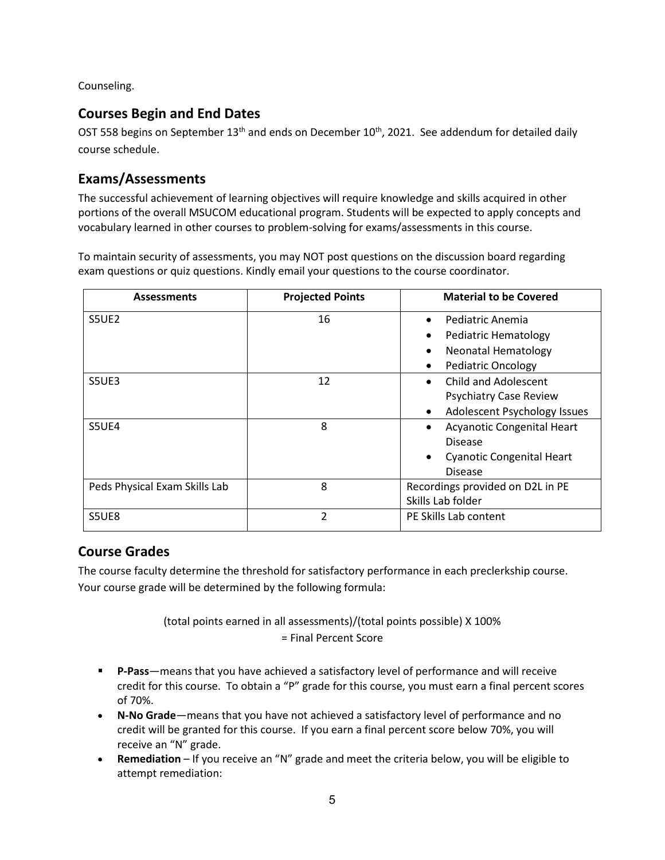<span id="page-4-0"></span>Counseling.

#### **Courses Begin and End Dates**

OST 558 begins on September 13<sup>th</sup> and ends on December 10<sup>th</sup>, 2021. See addendum for detailed daily course schedule.

#### <span id="page-4-1"></span>**Exams/Assessments**

The successful achievement of learning objectives will require knowledge and skills acquired in other portions of the overall MSUCOM educational program. Students will be expected to apply concepts and vocabulary learned in other courses to problem-solving for exams/assessments in this course.

To maintain security of assessments, you may NOT post questions on the discussion board regarding exam questions or quiz questions. Kindly email your questions to the course coordinator.

| <b>Assessments</b>            | <b>Projected Points</b> | <b>Material to be Covered</b>                         |  |
|-------------------------------|-------------------------|-------------------------------------------------------|--|
| S5UE <sub>2</sub>             | 16                      | Pediatric Anemia                                      |  |
|                               |                         | Pediatric Hematology                                  |  |
|                               |                         | <b>Neonatal Hematology</b>                            |  |
|                               |                         | <b>Pediatric Oncology</b>                             |  |
| S5UE3                         | 12                      | Child and Adolescent                                  |  |
|                               |                         | <b>Psychiatry Case Review</b>                         |  |
|                               |                         | Adolescent Psychology Issues                          |  |
| S5UE4                         | 8                       | Acyanotic Congenital Heart                            |  |
|                               |                         | <b>Disease</b>                                        |  |
|                               |                         | <b>Cyanotic Congenital Heart</b>                      |  |
|                               |                         | <b>Disease</b>                                        |  |
| Peds Physical Exam Skills Lab | 8                       | Recordings provided on D2L in PE<br>Skills Lab folder |  |
|                               |                         |                                                       |  |
| S5UE8                         | $\mathfrak{p}$          | PE Skills Lab content                                 |  |

#### <span id="page-4-2"></span>**Course Grades**

The course faculty determine the threshold for satisfactory performance in each preclerkship course. Your course grade will be determined by the following formula:

> (total points earned in all assessments)/(total points possible) X 100% = Final Percent Score

- **P-Pass**—means that you have achieved a satisfactory level of performance and will receive credit for this course. To obtain a "P" grade for this course, you must earn a final percent scores of 70%.
- **N-No Grade**—means that you have not achieved a satisfactory level of performance and no credit will be granted for this course. If you earn a final percent score below 70%, you will receive an "N" grade.
- **Remediation**  If you receive an "N" grade and meet the criteria below, you will be eligible to attempt remediation: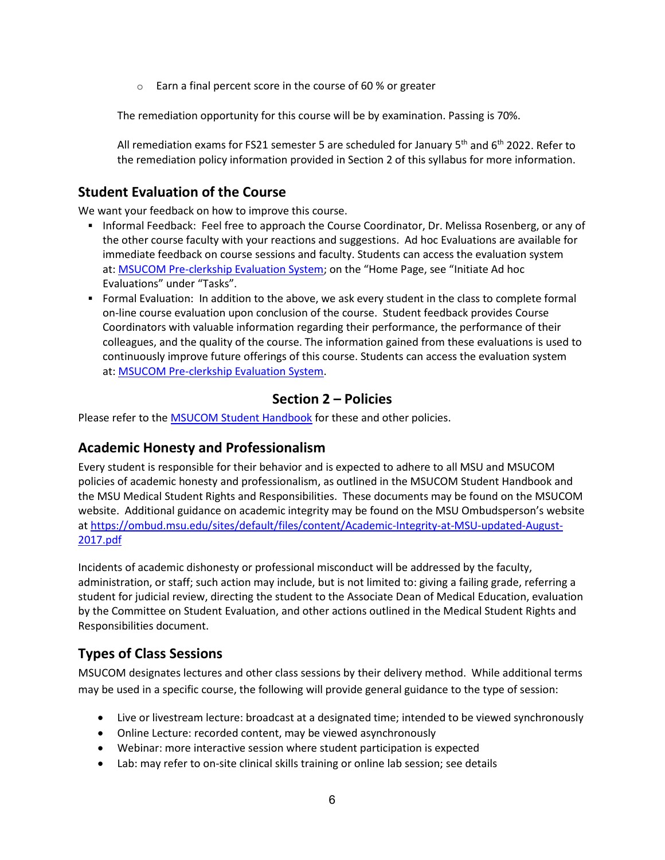o Earn a final percent score in the course of 60 % or greater

The remediation opportunity for this course will be by examination. Passing is 70%.

All remediation exams for FS21 semester 5 are scheduled for January  $5<sup>th</sup>$  and  $6<sup>th</sup>$  2022. Refer to the remediation policy information provided in Section 2 of this syllabus for more information.

#### <span id="page-5-0"></span>**Student Evaluation of the Course**

We want your feedback on how to improve this course.

- **Informal Feedback: Feel free to approach the Course Coordinator, Dr. Melissa Rosenberg, or any of** the other course faculty with your reactions and suggestions. Ad hoc Evaluations are available for immediate feedback on course sessions and faculty. Students can access the evaluation system at: [MSUCOM Pre-clerkship Evaluation System;](https://evalue.msu.edu/) on the "Home Page, see "Initiate Ad hoc Evaluations" under "Tasks".
- Formal Evaluation: In addition to the above, we ask every student in the class to complete formal on-line course evaluation upon conclusion of the course. Student feedback provides Course Coordinators with valuable information regarding their performance, the performance of their colleagues, and the quality of the course. The information gained from these evaluations is used to continuously improve future offerings of this course. Students can access the evaluation system at: [MSUCOM Pre-clerkship Evaluation System.](https://evalue.msu.edu/)

#### **Section 2 – Policies**

Please refer to the **MSUCOM Student Handbook** for these and other policies.

#### <span id="page-5-1"></span>**Academic Honesty and Professionalism**

Every student is responsible for their behavior and is expected to adhere to all MSU and MSUCOM policies of academic honesty and professionalism, as outlined in the MSUCOM Student Handbook and the MSU Medical Student Rights and Responsibilities. These documents may be found on the MSUCOM website. Additional guidance on academic integrity may be found on the MSU Ombudsperson's website at [https://ombud.msu.edu/sites/default/files/content/Academic-Integrity-at-MSU-updated-August-](https://ombud.msu.edu/sites/default/files/content/Academic-Integrity-at-MSU-updated-August-2017.pdf)[2017.pdf](https://ombud.msu.edu/sites/default/files/content/Academic-Integrity-at-MSU-updated-August-2017.pdf)

Incidents of academic dishonesty or professional misconduct will be addressed by the faculty, administration, or staff; such action may include, but is not limited to: giving a failing grade, referring a student for judicial review, directing the student to the Associate Dean of Medical Education, evaluation by the Committee on Student Evaluation, and other actions outlined in the Medical Student Rights and Responsibilities document.

## <span id="page-5-2"></span>**Types of Class Sessions**

MSUCOM designates lectures and other class sessions by their delivery method. While additional terms may be used in a specific course, the following will provide general guidance to the type of session:

- Live or livestream lecture: broadcast at a designated time; intended to be viewed synchronously
- Online Lecture: recorded content, may be viewed asynchronously
- Webinar: more interactive session where student participation is expected
- Lab: may refer to on-site clinical skills training or online lab session; see details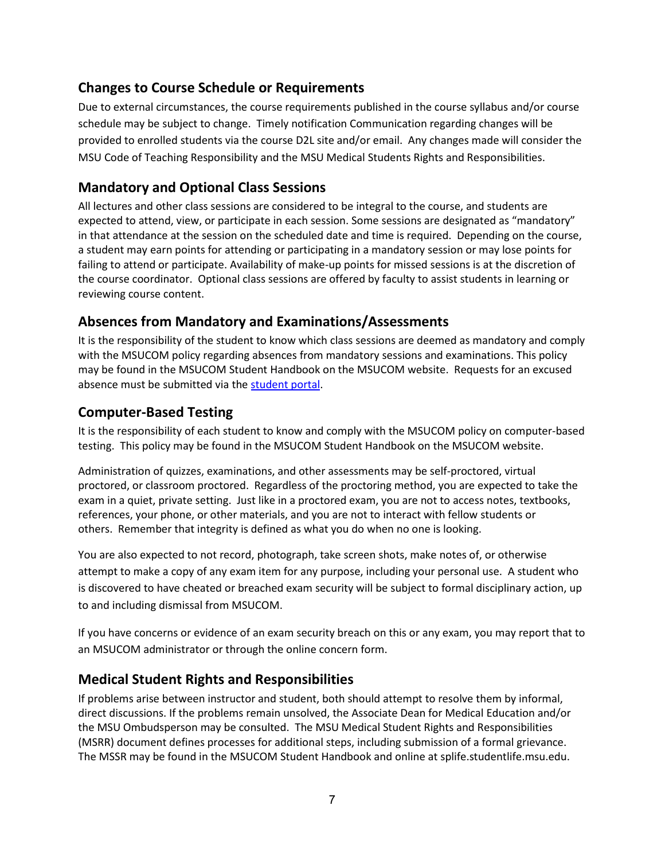#### **Changes to Course Schedule or Requirements**

Due to external circumstances, the course requirements published in the course syllabus and/or course schedule may be subject to change. Timely notification Communication regarding changes will be provided to enrolled students via the course D2L site and/or email. Any changes made will consider the MSU Code of Teaching Responsibility and the MSU Medical Students Rights and Responsibilities.

## <span id="page-6-0"></span>**Mandatory and Optional Class Sessions**

All lectures and other class sessions are considered to be integral to the course, and students are expected to attend, view, or participate in each session. Some sessions are designated as "mandatory" in that attendance at the session on the scheduled date and time is required. Depending on the course, a student may earn points for attending or participating in a mandatory session or may lose points for failing to attend or participate. Availability of make-up points for missed sessions is at the discretion of the course coordinator. Optional class sessions are offered by faculty to assist students in learning or reviewing course content.

#### <span id="page-6-1"></span>**Absences from Mandatory and Examinations/Assessments**

It is the responsibility of the student to know which class sessions are deemed as mandatory and comply with the MSUCOM policy regarding absences from mandatory sessions and examinations. This policy may be found in the MSUCOM Student Handbook on the MSUCOM website. Requests for an excused absence must be submitted via the [student portal.](https://studentportal.com.msu.edu/)

#### <span id="page-6-2"></span>**Computer-Based Testing**

It is the responsibility of each student to know and comply with the MSUCOM policy on computer-based testing. This policy may be found in the MSUCOM Student Handbook on the MSUCOM website.

Administration of quizzes, examinations, and other assessments may be self-proctored, virtual proctored, or classroom proctored. Regardless of the proctoring method, you are expected to take the exam in a quiet, private setting. Just like in a proctored exam, you are not to access notes, textbooks, references, your phone, or other materials, and you are not to interact with fellow students or others. Remember that integrity is defined as what you do when no one is looking.

You are also expected to not record, photograph, take screen shots, make notes of, or otherwise attempt to make a copy of any exam item for any purpose, including your personal use. A student who is discovered to have cheated or breached exam security will be subject to formal disciplinary action, up to and including dismissal from MSUCOM.

If you have concerns or evidence of an exam security breach on this or any exam, you may report that to an MSUCOM administrator or through the online concern form.

#### <span id="page-6-3"></span>**Medical Student Rights and Responsibilities**

If problems arise between instructor and student, both should attempt to resolve them by informal, direct discussions. If the problems remain unsolved, the Associate Dean for Medical Education and/or the MSU Ombudsperson may be consulted. The MSU Medical Student Rights and Responsibilities (MSRR) document defines processes for additional steps, including submission of a formal grievance. The MSSR may be found in the MSUCOM Student Handbook and online at splife.studentlife.msu.edu.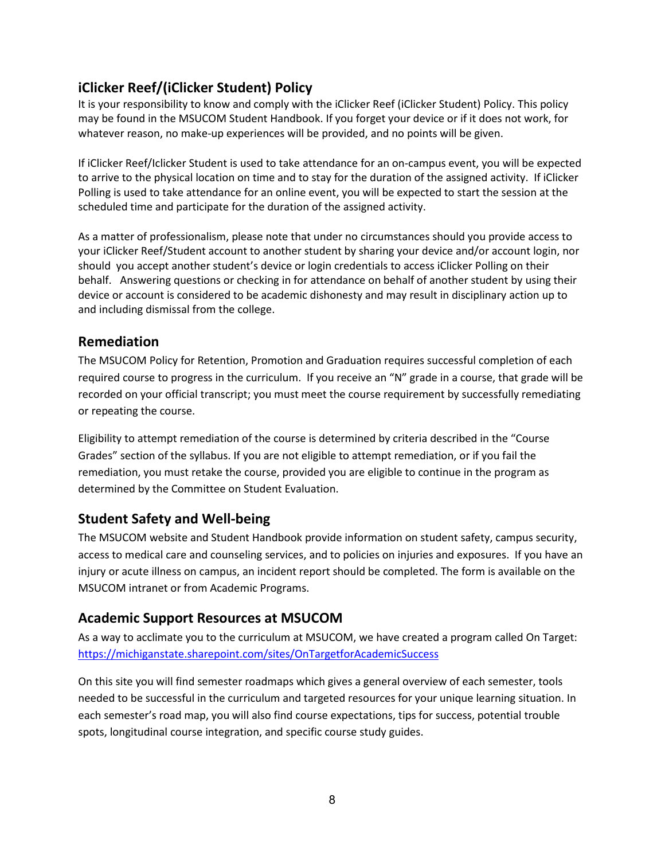## **iClicker Reef/(iClicker Student) Policy**

It is your responsibility to know and comply with the iClicker Reef (iClicker Student) Policy. This policy may be found in the MSUCOM Student Handbook. If you forget your device or if it does not work, for whatever reason, no make-up experiences will be provided, and no points will be given.

If iClicker Reef/Iclicker Student is used to take attendance for an on-campus event, you will be expected to arrive to the physical location on time and to stay for the duration of the assigned activity. If iClicker Polling is used to take attendance for an online event, you will be expected to start the session at the scheduled time and participate for the duration of the assigned activity.

As a matter of professionalism, please note that under no circumstances should you provide access to your iClicker Reef/Student account to another student by sharing your device and/or account login, nor should you accept another student's device or login credentials to access iClicker Polling on their behalf. Answering questions or checking in for attendance on behalf of another student by using their device or account is considered to be academic dishonesty and may result in disciplinary action up to and including dismissal from the college.

#### <span id="page-7-0"></span>**Remediation**

The MSUCOM Policy for Retention, Promotion and Graduation requires successful completion of each required course to progress in the curriculum. If you receive an "N" grade in a course, that grade will be recorded on your official transcript; you must meet the course requirement by successfully remediating or repeating the course.

Eligibility to attempt remediation of the course is determined by criteria described in the "Course Grades" section of the syllabus. If you are not eligible to attempt remediation, or if you fail the remediation, you must retake the course, provided you are eligible to continue in the program as determined by the Committee on Student Evaluation.

#### <span id="page-7-1"></span>**Student Safety and Well-being**

The MSUCOM website and Student Handbook provide information on student safety, campus security, access to medical care and counseling services, and to policies on injuries and exposures. If you have an injury or acute illness on campus, an incident report should be completed. The form is available on the MSUCOM intranet or from Academic Programs.

### <span id="page-7-2"></span>**Academic Support Resources at MSUCOM**

As a way to acclimate you to the curriculum at MSUCOM, we have created a program called On Target: <https://michiganstate.sharepoint.com/sites/OnTargetforAcademicSuccess>

On this site you will find semester roadmaps which gives a general overview of each semester, tools needed to be successful in the curriculum and targeted resources for your unique learning situation. In each semester's road map, you will also find course expectations, tips for success, potential trouble spots, longitudinal course integration, and specific course study guides.